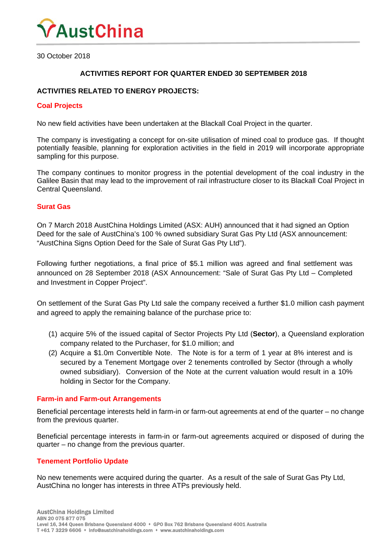

30 October 2018

# **ACTIVITIES REPORT FOR QUARTER ENDED 30 SEPTEMBER 2018**

# **ACTIVITIES RELATED TO ENERGY PROJECTS:**

#### **Coal Projects**

No new field activities have been undertaken at the Blackall Coal Project in the quarter.

The company is investigating a concept for on-site utilisation of mined coal to produce gas. If thought potentially feasible, planning for exploration activities in the field in 2019 will incorporate appropriate sampling for this purpose.

The company continues to monitor progress in the potential development of the coal industry in the Galilee Basin that may lead to the improvement of rail infrastructure closer to its Blackall Coal Project in Central Queensland.

#### **Surat Gas**

On 7 March 2018 AustChina Holdings Limited (ASX: AUH) announced that it had signed an Option Deed for the sale of AustChina's 100 % owned subsidiary Surat Gas Pty Ltd (ASX announcement: "AustChina Signs Option Deed for the Sale of Surat Gas Pty Ltd").

Following further negotiations, a final price of \$5.1 million was agreed and final settlement was announced on 28 September 2018 (ASX Announcement: "Sale of Surat Gas Pty Ltd – Completed and Investment in Copper Project".

On settlement of the Surat Gas Pty Ltd sale the company received a further \$1.0 million cash payment and agreed to apply the remaining balance of the purchase price to:

- (1) acquire 5% of the issued capital of Sector Projects Pty Ltd (**Sector**), a Queensland exploration company related to the Purchaser, for \$1.0 million; and
- (2) Acquire a \$1.0m Convertible Note. The Note is for a term of 1 year at 8% interest and is secured by a Tenement Mortgage over 2 tenements controlled by Sector (through a wholly owned subsidiary). Conversion of the Note at the current valuation would result in a 10% holding in Sector for the Company.

#### **Farm-in and Farm-out Arrangements**

Beneficial percentage interests held in farm-in or farm-out agreements at end of the quarter – no change from the previous quarter.

Beneficial percentage interests in farm-in or farm-out agreements acquired or disposed of during the quarter – no change from the previous quarter.

#### **Tenement Portfolio Update**

No new tenements were acquired during the quarter. As a result of the sale of Surat Gas Pty Ltd, AustChina no longer has interests in three ATPs previously held.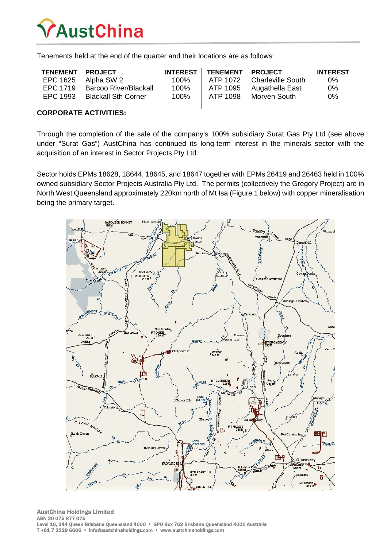

Tenements held at the end of the quarter and their locations are as follows:

| TENEMENT PROJECT |                            |      | INTEREST   TENEMENT | <b>PROJECT</b>             | <b>INTEREST</b> |
|------------------|----------------------------|------|---------------------|----------------------------|-----------------|
|                  | EPC 1625 Alpha SW 2        | 100% |                     | ATP 1072 Charleville South | 0%              |
| EPC 1719         | Barcoo River/Blackall      | 100% | ATP 1095            | Augathella East            | $0\%$           |
| EPC 1993         | <b>Blackall Sth Corner</b> | 100% | ATP 1098            | Morven South               | $0\%$           |
|                  |                            |      |                     |                            |                 |

### **CORPORATE ACTIVITIES:**

Through the completion of the sale of the company's 100% subsidiary Surat Gas Pty Ltd (see above under "Surat Gas") AustChina has continued its long-term interest in the minerals sector with the acquisition of an interest in Sector Projects Pty Ltd.

Sector holds EPMs 18628, 18644, 18645, and 18647 together with EPMs 26419 and 26463 held in 100% owned subsidiary Sector Projects Australia Pty Ltd. The permits (collectively the Gregory Project) are in North West Queensland approximately 220km north of Mt Isa (Figure 1 below) with copper mineralisation being the primary target.